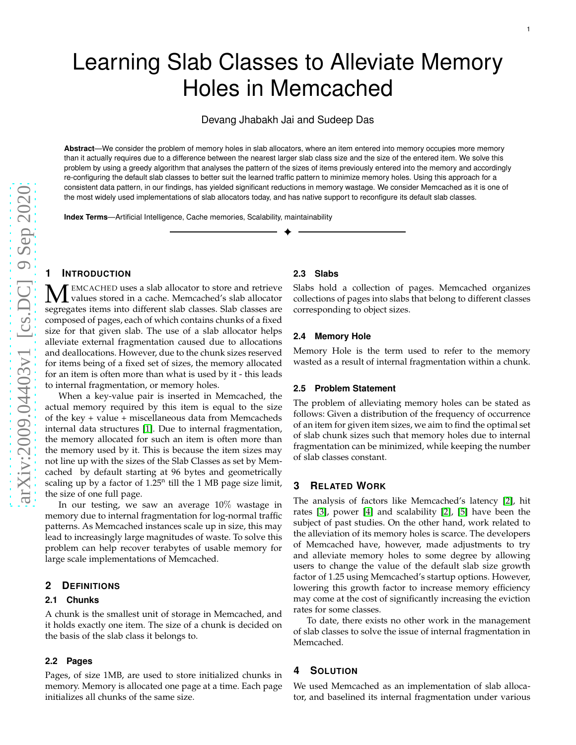Devang Jhabakh Jai and Sudeep Das

**Abstract**—We consider the problem of memory holes in slab allocators, where an item entered into memory occupies more memory than it actually requires due to a difference between the nearest larger slab class size and the size of the entered item. We solve this problem by using a greedy algorithm that analyses the pattern of the sizes of items previously entered into the memory and accordingly re-configuring the default slab classes to better suit the learned traffic pattern to minimize memory holes. Using this approach for a consistent data pattern, in our findings, has yielded significant reductions in memory wastage. We consider Memcached as it is one of the most widely used implementations of slab allocators today, and has native support to reconfigure its default slab classes.

✦

**Index Terms**—Artificial Intelligence, Cache memories, Scalability, maintainability

### **1 INTRODUCTION**

MEMCACHED uses a slab allocator to store and retrieve<br>secrecates items into different slab classes. Slab classes are segregates items into different slab classes. Slab classes are composed of pages, each of which contains chunks of a fixed size for that given slab. The use of a slab allocator helps alleviate external fragmentation caused due to allocation s and deallocations. However, due to the chunk sizes reserved for items being of a fixed set of sizes, the memory allocated for an item is often more than what is used by it - this leads to internal fragmentation, or memory holes.

When a key-value pair is inserted in Memcached, the actual memory required by this item is equal to the size of the key + value + miscellaneous data from Memcacheds internal data structures [\[1\]](#page-4-0). Due to internal fragmentation, the memory allocated for such an item is often more than the memory used by it. This is because the item sizes may not line up with the sizes of the Slab Classes as set by Memcached by default starting at 96 bytes and geometrically scaling up by a factor of  $1.25<sup>n</sup>$  till the 1 MB page size limit, the size of one full page.

In our testing, we saw an average 10 % wastage in memory due to internal fragmentation for log-normal traffic patterns. As Memcached instances scale up in size, this may lead to increasingly large magnitudes of waste. To solve thi s problem can help recover terabytes of usable memory for large scale implementations of Memcached.

# **2 DEFINITIONS**

#### **2.1 Chunks**

A chunk is the smallest unit of storage in Memcached, and it holds exactly one item. The size of a chunk is decided on the basis of the slab class it belongs to.

### **2.2 Pages**

Pages, of size 1MB, are used to store initialized chunks in memory. Memory is allocated one page at a time. Each page initializes all chunks of the same size.

#### **2.3 Slabs**

Slabs hold a collection of pages. Memcached organizes collections of pages into slabs that belong to different classes corresponding to object sizes.

#### **2.4 Memory Hole**

Memory Hole is the term used to refer to the memory wasted as a result of internal fragmentation within a chunk.

#### **2.5 Problem Statement**

The problem of alleviating memory holes can be stated as follows: Given a distribution of the frequency of occurrenc e of an item for given item sizes, we aim to find the optimal set of slab chunk sizes such that memory holes due to internal fragmentation can be minimized, while keeping the number of slab classes constant.

# **3 RELATED WORK**

The analysis of factors like Memcached's latency [\[2\]](#page-4-1), hit rates [\[3\]](#page-4-2), power [\[4\]](#page-4-3) and scalability [\[2\]](#page-4-1), [\[5\]](#page-4-4) have been the subject of past studies. On the other hand, work related to the alleviation of its memory holes is scarce. The developer s of Memcached have, however, made adjustments to try and alleviate memory holes to some degree by allowing users to change the value of the default slab size growth factor of 1.25 using Memcached's startup options. However, lowering this growth factor to increase memory efficiency may come at the cost of significantly increasing the eviction rates for some classes.

To date, there exists no other work in the management of slab classes to solve the issue of internal fragmentation in Memcached.

#### **4 SOLUTION**

We used Memcached as an implementation of slab allocator, and baselined its internal fragmentation under various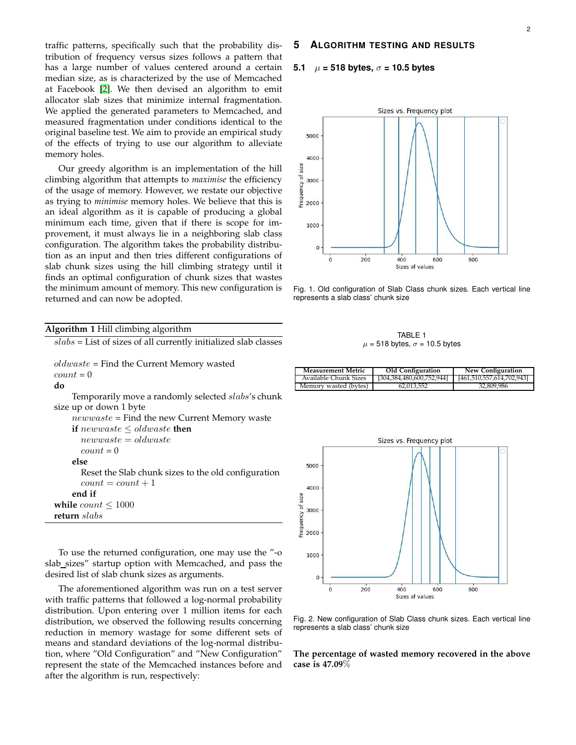traffic patterns, specifically such that the probability distribution of frequency versus sizes follows a pattern that has a large number of values centered around a certain median size, as is characterized by the use of Memcached at Facebook [\[2\]](#page-4-1). We then devised an algorithm to emit allocator slab sizes that minimize internal fragmentation. We applied the generated parameters to Memcached, and measured fragmentation under conditions identical to the original baseline test. We aim to provide an empirical study of the effects of trying to use our algorithm to alleviate memory holes.

Our greedy algorithm is an implementation of the hill climbing algorithm that attempts to *maximise* the efficiency of the usage of memory. However, we restate our objective as trying to *minimise* memory holes. We believe that this is an ideal algorithm as it is capable of producing a global minimum each time, given that if there is scope for improvement, it must always lie in a neighboring slab class configuration. The algorithm takes the probability distribution as an input and then tries different configurations of slab chunk sizes using the hill climbing strategy until it finds an optimal configuration of chunk sizes that wastes the minimum amount of memory. This new configuration is returned and can now be adopted.

# **5 ALGORITHM TESTING AND RESULTS**

### **5.1** µ **= 518 bytes,** σ **= 10.5 bytes**



Fig. 1. Old configuration of Slab Class chunk sizes. Each vertical line represents a slab class' chunk size

| <b>Algorithm 1 Hill climbing algorithm</b>                        |  |
|-------------------------------------------------------------------|--|
| $slabs =$ List of sizes of all currently initialized slab classes |  |
|                                                                   |  |
| $old waste = Find the Current Memory wasted$                      |  |
| $count = 0$                                                       |  |
| do                                                                |  |
| Temporarily move a randomly selected slabs's chunk                |  |
| size up or down 1 byte                                            |  |
| $newwaste$ = Find the new Current Memory waste                    |  |
| if newwaste $\le$ oldwaste then                                   |  |
| $newwaste = oldwaste$                                             |  |
| $count = 0$                                                       |  |
| else                                                              |  |
| Reset the Slab chunk sizes to the old configuration               |  |
| $count = count + 1$                                               |  |
| end if                                                            |  |
| while $count \leq 1000$                                           |  |
| return slabs                                                      |  |
|                                                                   |  |

To use the returned configuration, one may use the "-o slab sizes" startup option with Memcached, and pass the desired list of slab chunk sizes as arguments.

The aforementioned algorithm was run on a test server with traffic patterns that followed a log-normal probability distribution. Upon entering over 1 million items for each distribution, we observed the following results concerning reduction in memory wastage for some different sets of means and standard deviations of the log-normal distribution, where "Old Configuration" and "New Configuration" represent the state of the Memcached instances before and after the algorithm is run, respectively:

#### TARI F 1  $\mu$  = 518 bytes,  $\sigma$  = 10.5 bytes

| <b>Measurement Metric</b> | Old Configuration         | New Configuration         |
|---------------------------|---------------------------|---------------------------|
| Available Chunk Sizes     | [304,384,480,600,752,944] | [461,510,557,614,702,943] |
| Memory wasted (bytes)     | 62.013.552                | 32.809.986                |



Fig. 2. New configuration of Slab Class chunk sizes. Each vertical line represents a slab class' chunk size

**The percentage of wasted memory recovered in the above case is 47.09**%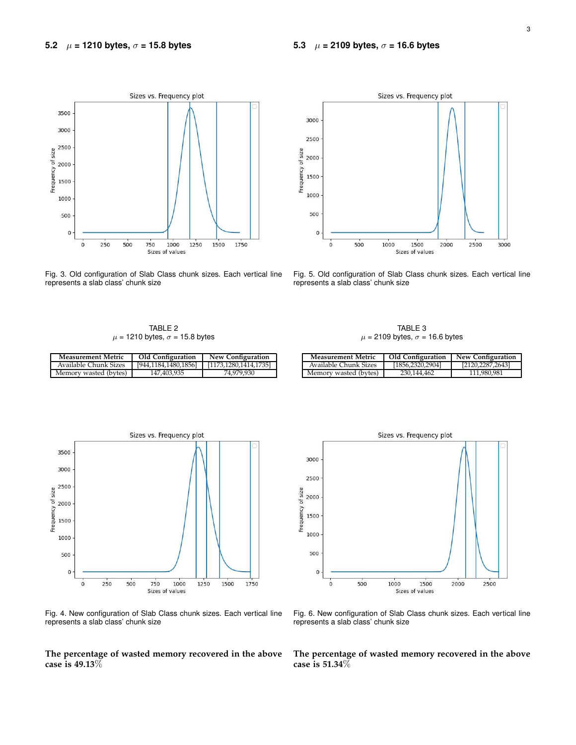

Fig. 3. Old configuration of Slab Class chunk sizes. Each vertical line represents a slab class' chunk size



Fig. 5. Old configuration of Slab Class chunk sizes. Each vertical line represents a slab class' chunk size

TABLE 2  $\mu$  = 1210 bytes,  $\sigma$  = 15.8 bytes

**Measurement Metric Old Configuration New Configuration**

| TABLE 3                                   |
|-------------------------------------------|
| $\mu$ = 2109 bytes, $\sigma$ = 16.6 bytes |

**Measurement Metric Old Configuration New Configuration**

Memory wasted (bytes) 230,144,462 111,980,98

Available Chunk Sizes

| Available Chunk Sizes | [944,1184,1480,1856] | [1173,1280,1414,1735] |
|-----------------------|----------------------|-----------------------|
| Memory wasted (bytes) | 147.403.935          | 74.979.930            |
|                       |                      |                       |
|                       |                      |                       |
|                       |                      |                       |

Sizes vs. Frequency plot 3500 3000 2500<br>
5 2000<br>
6 2000<br>
6 1500<br>
6 1500 2500 1000 500  $\mathbf 0$  $\dot{o}$  $250$  $500$  $750$ 1000 1250 1500 1750 Sizes of values

Fig. 4. New configuration of Slab Class chunk sizes. Each vertical line represents a slab class' chunk size

**The percentage of wasted memory recovered in the above case is 49.13**%



Fig. 6. New configuration of Slab Class chunk sizes. Each vertical line represents a slab class' chunk size

**The percentage of wasted memory recovered in the above case is 51.34**%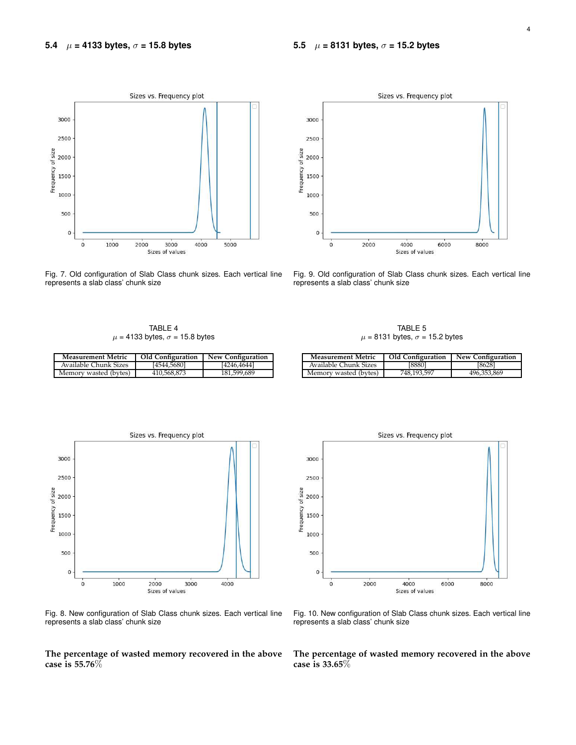

Fig. 7. Old configuration of Slab Class chunk sizes. Each vertical line represents a slab class' chunk size



Fig. 9. Old configuration of Slab Class chunk sizes. Each vertical line represents a slab class' chunk size

TABLE 4  $\mu$  = 4133 bytes,  $\sigma$  = 15.8 bytes

|                                           | TABLE 5 |  |  |
|-------------------------------------------|---------|--|--|
| $\mu$ = 8131 bytes, $\sigma$ = 15.2 bytes |         |  |  |

**Measurement Metric Old Configuration New Configuration**

Memory wasted (bytes) 748,193,597 496

Available Chunk Sizes [8880]

| <b>Measurement Metric</b> | <b>Old Configuration</b> | <b>New Configuration</b> |
|---------------------------|--------------------------|--------------------------|
| Available Chunk Sizes     | [4544.5680]              | [4246,4644]              |
| Memory wasted (bytes)     | 410.568.873              | 181,599,689              |

Sizes vs. Frequency plot 3000 2500 Frequency of size 2000 1500 1000



Fig. 8. New configuration of Slab Class chunk sizes. Each vertical line represents a slab class' chunk size

**The percentage of wasted memory recovered in the above case is 55.76**%



Fig. 10. New configuration of Slab Class chunk sizes. Each vertical line represents a slab class' chunk size

**The percentage of wasted memory recovered in the above case is 33.65**%